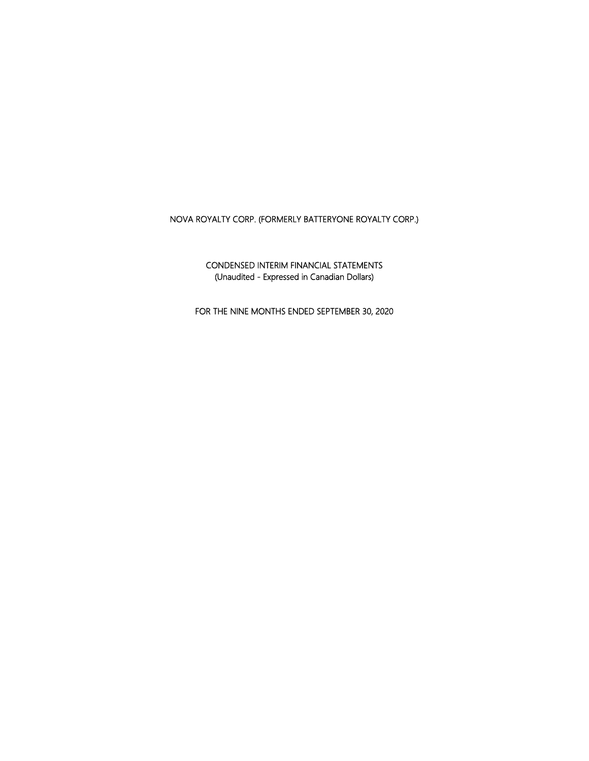CONDENSED INTERIM FINANCIAL STATEMENTS (Unaudited - Expressed in Canadian Dollars)

FOR THE NINE MONTHS ENDED SEPTEMBER 30, 2020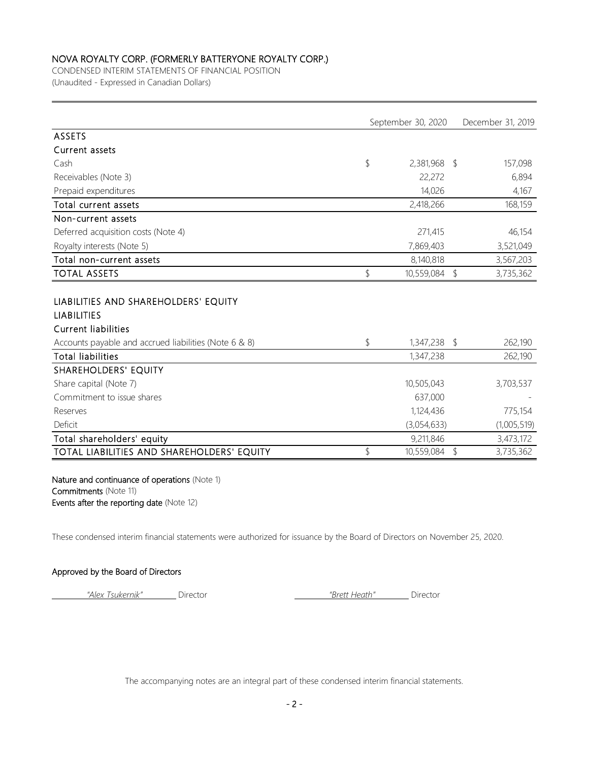CONDENSED INTERIM STATEMENTS OF FINANCIAL POSITION (Unaudited - Expressed in Canadian Dollars)

|                  |                | December 31, 2019                                                  |
|------------------|----------------|--------------------------------------------------------------------|
|                  |                |                                                                    |
|                  |                |                                                                    |
| \$               |                | 157,098                                                            |
| 22,272           |                | 6,894                                                              |
| 14,026           |                | 4,167                                                              |
| 2,418,266        |                | 168,159                                                            |
|                  |                |                                                                    |
| 271,415          |                | 46,154                                                             |
| 7,869,403        |                | 3,521,049                                                          |
| 8,140,818        |                | 3,567,203                                                          |
| \$               | $\updownarrow$ | 3,735,362                                                          |
|                  |                |                                                                    |
| \$               |                | 262,190                                                            |
| 1,347,238        |                | 262,190                                                            |
|                  |                |                                                                    |
| 10,505,043       |                | 3,703,537                                                          |
| 637,000          |                |                                                                    |
| 1,124,436        |                | 775,154                                                            |
| (3,054,633)      |                | (1,005,519)                                                        |
| 9,211,846        |                | 3,473,172                                                          |
| \$<br>10,559,084 | \$             | 3,735,362                                                          |
|                  |                | September 30, 2020<br>$2,381,968$ \$<br>10,559,084<br>1,347,238 \$ |

Nature and continuance of operations (Note 1) Commitments (Note 11) Events after the reporting date (Note 12)

These condensed interim financial statements were authorized for issuance by the Board of Directors on November 25, 2020.

#### Approved by the Board of Directors

*"Alex Tsukernik"* Director *"Brett Heath"* Director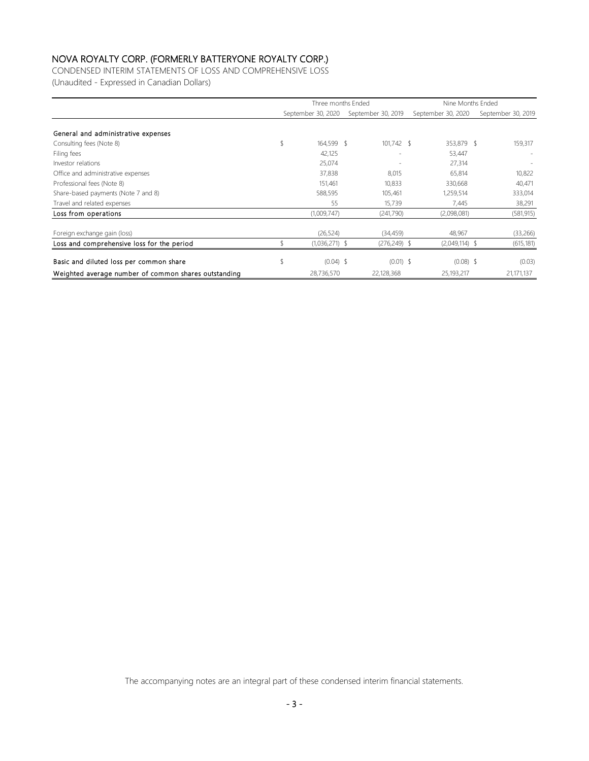CONDENSED INTERIM STATEMENTS OF LOSS AND COMPREHENSIVE LOSS (Unaudited - Expressed in Canadian Dollars)

|                                                      | Three months Ended |                    |  |                    | Nine Months Ended  |                    |  |  |
|------------------------------------------------------|--------------------|--------------------|--|--------------------|--------------------|--------------------|--|--|
|                                                      |                    | September 30, 2020 |  | September 30, 2019 | September 30, 2020 | September 30, 2019 |  |  |
| General and administrative expenses                  |                    |                    |  |                    |                    |                    |  |  |
| Consulting fees (Note 8)                             |                    | 164.599 \$         |  | $101,742$ \$       | 353,879 \$         | 159,317            |  |  |
| Filing fees                                          |                    | 42,125             |  |                    | 53,447             |                    |  |  |
| Investor relations                                   |                    | 25,074             |  |                    | 27,314             |                    |  |  |
| Office and administrative expenses                   |                    | 37,838             |  | 8,015              | 65,814             | 10,822             |  |  |
| Professional fees (Note 8)                           |                    | 151,461            |  | 10,833             | 330,668            | 40,471             |  |  |
| Share-based payments (Note 7 and 8)                  |                    | 588,595            |  | 105,461            | 1,259,514          | 333,014            |  |  |
| Travel and related expenses                          |                    | 55                 |  | 15,739             | 7,445              | 38,291             |  |  |
| Loss from operations                                 |                    | (1,009,747)        |  | (241,790)          | (2,098,081)        | (581, 915)         |  |  |
| Foreign exchange gain (loss)                         |                    | (26, 524)          |  | (34, 459)          | 48,967             | (33,266)           |  |  |
| Loss and comprehensive loss for the period           |                    | $(1,036,271)$ \$   |  | $(276, 249)$ \$    | $(2,049,114)$ \$   | (615, 181)         |  |  |
| Basic and diluted loss per common share              |                    | $(0.04)$ \$        |  | $(0.01)$ \$        | $(0.08)$ \$        | (0.03)             |  |  |
| Weighted average number of common shares outstanding |                    | 28,736,570         |  | 22,128,368         | 25,193,217         | 21,171,137         |  |  |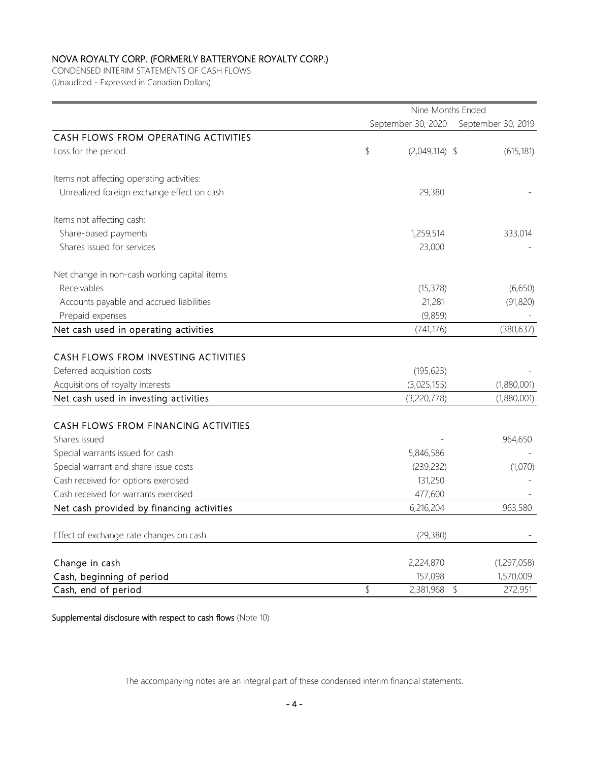CONDENSED INTERIM STATEMENTS OF CASH FLOWS (Unaudited - Expressed in Canadian Dollars)

|                                              | Nine Months Ended |                    |                    |  |  |  |  |
|----------------------------------------------|-------------------|--------------------|--------------------|--|--|--|--|
|                                              |                   | September 30, 2020 | September 30, 2019 |  |  |  |  |
| CASH FLOWS FROM OPERATING ACTIVITIES         |                   |                    |                    |  |  |  |  |
| Loss for the period                          | \$                | $(2,049,114)$ \$   | (615, 181)         |  |  |  |  |
| Items not affecting operating activities:    |                   |                    |                    |  |  |  |  |
| Unrealized foreign exchange effect on cash   |                   | 29,380             |                    |  |  |  |  |
| Items not affecting cash:                    |                   |                    |                    |  |  |  |  |
| Share-based payments                         |                   | 1,259,514          | 333,014            |  |  |  |  |
| Shares issued for services                   |                   | 23,000             |                    |  |  |  |  |
| Net change in non-cash working capital items |                   |                    |                    |  |  |  |  |
| Receivables                                  |                   | (15, 378)          | (6,650)            |  |  |  |  |
| Accounts payable and accrued liabilities     |                   | 21,281             | (91, 820)          |  |  |  |  |
| Prepaid expenses                             |                   | (9,859)            |                    |  |  |  |  |
| Net cash used in operating activities        |                   | (741, 176)         | (380, 637)         |  |  |  |  |
|                                              |                   |                    |                    |  |  |  |  |
| CASH FLOWS FROM INVESTING ACTIVITIES         |                   |                    |                    |  |  |  |  |
| Deferred acquisition costs                   |                   | (195, 623)         |                    |  |  |  |  |
| Acquisitions of royalty interests            |                   | (3,025,155)        | (1,880,001)        |  |  |  |  |
| Net cash used in investing activities        |                   | (3,220,778)        | (1,880,001)        |  |  |  |  |
| CASH FLOWS FROM FINANCING ACTIVITIES         |                   |                    |                    |  |  |  |  |
| Shares issued                                |                   |                    | 964,650            |  |  |  |  |
| Special warrants issued for cash             |                   | 5,846,586          |                    |  |  |  |  |
| Special warrant and share issue costs        |                   | (239, 232)         | (1,070)            |  |  |  |  |
| Cash received for options exercised          |                   | 131,250            |                    |  |  |  |  |
| Cash received for warrants exercised         |                   | 477,600            |                    |  |  |  |  |
| Net cash provided by financing activities    |                   | 6,216,204          | 963,580            |  |  |  |  |
|                                              |                   |                    |                    |  |  |  |  |
| Effect of exchange rate changes on cash      |                   | (29, 380)          |                    |  |  |  |  |
| Change in cash                               |                   | 2,224,870          | (1,297,058)        |  |  |  |  |
| Cash, beginning of period                    |                   | 157,098            | 1,570,009          |  |  |  |  |
| Cash, end of period                          | \$                | 2,381,968          | 272,951<br>\$      |  |  |  |  |

Supplemental disclosure with respect to cash flows (Note 10)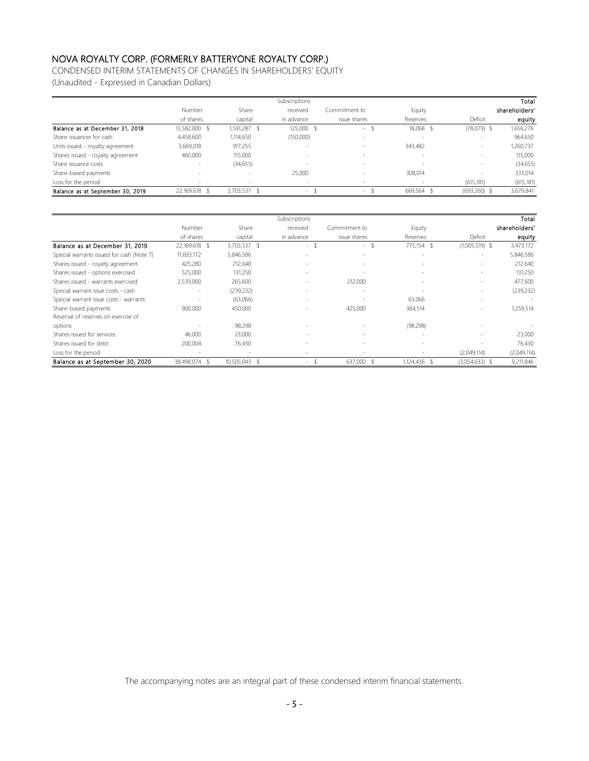CONDENSED INTERIM STATEMENTS OF CHANGES IN SHAREHOLDERS' EQUITY

(Unaudited - Expressed in Canadian Dollars)

|                                   |                          |                          | Subscriptions |                          |                          |                 | Total         |
|-----------------------------------|--------------------------|--------------------------|---------------|--------------------------|--------------------------|-----------------|---------------|
|                                   | Number                   | Share                    | received      | Commitment to            | Equity                   |                 | shareholders' |
|                                   | of shares                | capital                  | in advance    | issue shares             | Reserves                 | Deficit         | equity        |
| Balance as at December 31, 2018   | 13,582,000               | 1,591,287                | 125,000       | $\overline{\phantom{a}}$ | 18,068                   | $(78,079)$ \$   | 1,656,276     |
| Share issuances for cash          | 4,458,600                | 1,114,650                | (150,000)     | $\overline{\phantom{a}}$ |                          | $\sim$          | 964,650       |
| Units issued - royalty agreement  | 3,669,018                | 917,255                  |               | $\overline{\phantom{a}}$ | 343,482                  | $\sim$          | 1,260,737     |
| Shares issued - royalty agreement | 460.000                  | 115,000                  |               | $\overline{\phantom{a}}$ | $\sim$                   | $\sim$          | 115,000       |
| Share issuance costs              | $\overline{\phantom{a}}$ | (34, 655)                |               | $\sim$                   | $\overline{\phantom{a}}$ | $\sim$          | (34, 655)     |
| Share-based payments              | $\overline{\phantom{a}}$ | $\sim$                   | 25,000        | $\overline{\phantom{a}}$ | 308.014                  | $\sim$          | 333,014       |
| Loss for the period               |                          | $\overline{\phantom{a}}$ |               | $\overline{\phantom{a}}$ |                          | (615, 181)      | (615, 181)    |
| Balance as at September 30, 2019  | 22,169,618               | 3,703,537 \$             | $\sim$        | $\sim$                   | 669,564 \$               | $(693, 260)$ \$ | 3,679,841     |

|                                           |                          |                          | Subscriptions            |                          |                          |                          | Total         |
|-------------------------------------------|--------------------------|--------------------------|--------------------------|--------------------------|--------------------------|--------------------------|---------------|
|                                           | Number                   | Share                    | received                 | Commitment to            | Equity                   |                          | shareholders' |
|                                           | of shares                | capital                  | in advance               | issue shares             | Reserves                 | Deficit                  | equity        |
| Balance as at December 31, 2019           | 22,169,618 \$            | 3,703,537 \$             | $\sim$                   | $\overline{\phantom{a}}$ | 775,154 \$               | $(1,005,519)$ \$         | 3,473,172     |
| Special warrants issued for cash (Note 7) | 11,693,172               | 5,846,586                |                          | $\sim$                   | $\sim$                   | $\overline{\phantom{a}}$ | 5,846,586     |
| Shares issued - royalty agreement         | 425,280                  | 212,640                  |                          | $\overline{\phantom{a}}$ | $\overline{\phantom{a}}$ | $\overline{\phantom{a}}$ | 212,640       |
| Shares issued - options exercised         | 525,000                  | 131,250                  |                          |                          | $\overline{\phantom{a}}$ | $\overline{\phantom{a}}$ | 131,250       |
| Shares issued - warrants exercised        | 2,539,000                | 265,600                  |                          | 212,000                  | $\overline{\phantom{a}}$ | $\overline{\phantom{a}}$ | 477,600       |
| Special warrant issue costs - cash        | $\overline{\phantom{a}}$ | (239, 232)               | $\overline{\phantom{a}}$ | $\overline{\phantom{a}}$ | $\overline{\phantom{a}}$ | $\sim$                   | (239, 232)    |
| Special warrant issue costs - warrants    |                          | (63,066)                 |                          |                          | 63,066                   | $\sim$                   |               |
| Share-based payments                      | 900,000                  | 450,000                  |                          | 425,000                  | 384,514                  | $\sim$                   | 1,259,514     |
| Reversal of reserves on exercise of       |                          |                          |                          |                          |                          |                          |               |
| options                                   |                          | 98,298                   |                          |                          | (98, 298)                |                          |               |
| Shares issued for services                | 46,000                   | 23,000                   |                          | $\overline{\phantom{a}}$ | $\overline{\phantom{a}}$ |                          | 23,000        |
| Shares issued for debt                    | 200,004                  | 76,430                   |                          | $\overline{\phantom{a}}$ | $\overline{\phantom{a}}$ |                          | 76,430        |
| Loss for the period                       | $\overline{\phantom{a}}$ | $\overline{\phantom{a}}$ | -                        |                          |                          | (2,049,114)              | (2,049,114)   |
| Balance as at September 30, 2020          | 38,498,074               | 10,505,043 \$            | $\sim$                   | 637,000 \$               | 1,124,436 \$             | $(3,054,633)$ \$         | 9,211,846     |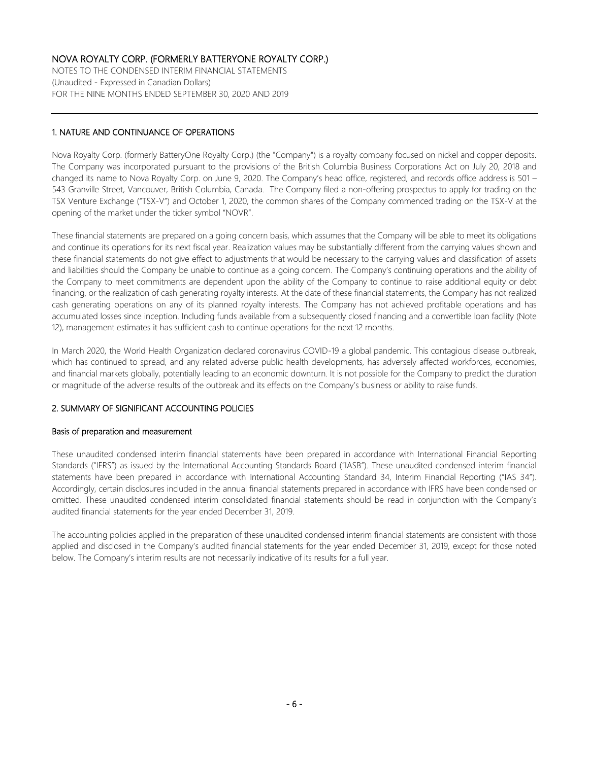NOTES TO THE CONDENSED INTERIM FINANCIAL STATEMENTS (Unaudited - Expressed in Canadian Dollars) FOR THE NINE MONTHS ENDED SEPTEMBER 30, 2020 AND 2019

### 1. NATURE AND CONTINUANCE OF OPERATIONS

Nova Royalty Corp. (formerly BatteryOne Royalty Corp.) (the "Company") is a royalty company focused on nickel and copper deposits. The Company was incorporated pursuant to the provisions of the British Columbia Business Corporations Act on July 20, 2018 and changed its name to Nova Royalty Corp. on June 9, 2020. The Company's head office, registered, and records office address is 501 – 543 Granville Street, Vancouver, British Columbia, Canada. The Company filed a non-offering prospectus to apply for trading on the TSX Venture Exchange ("TSX-V") and October 1, 2020, the common shares of the Company commenced trading on the TSX-V at the opening of the market under the ticker symbol "NOVR".

These financial statements are prepared on a going concern basis, which assumes that the Company will be able to meet its obligations and continue its operations for its next fiscal year. Realization values may be substantially different from the carrying values shown and these financial statements do not give effect to adjustments that would be necessary to the carrying values and classification of assets and liabilities should the Company be unable to continue as a going concern. The Company's continuing operations and the ability of the Company to meet commitments are dependent upon the ability of the Company to continue to raise additional equity or debt financing, or the realization of cash generating royalty interests. At the date of these financial statements, the Company has not realized cash generating operations on any of its planned royalty interests. The Company has not achieved profitable operations and has accumulated losses since inception. Including funds available from a subsequently closed financing and a convertible loan facility (Note 12), management estimates it has sufficient cash to continue operations for the next 12 months.

In March 2020, the World Health Organization declared coronavirus COVID-19 a global pandemic. This contagious disease outbreak, which has continued to spread, and any related adverse public health developments, has adversely affected workforces, economies, and financial markets globally, potentially leading to an economic downturn. It is not possible for the Company to predict the duration or magnitude of the adverse results of the outbreak and its effects on the Company's business or ability to raise funds.

### 2. SUMMARY OF SIGNIFICANT ACCOUNTING POLICIES

#### Basis of preparation and measurement

These unaudited condensed interim financial statements have been prepared in accordance with International Financial Reporting Standards ("IFRS") as issued by the International Accounting Standards Board ("IASB"). These unaudited condensed interim financial statements have been prepared in accordance with International Accounting Standard 34, Interim Financial Reporting ("IAS 34"). Accordingly, certain disclosures included in the annual financial statements prepared in accordance with IFRS have been condensed or omitted. These unaudited condensed interim consolidated financial statements should be read in conjunction with the Company's audited financial statements for the year ended December 31, 2019.

The accounting policies applied in the preparation of these unaudited condensed interim financial statements are consistent with those applied and disclosed in the Company's audited financial statements for the year ended December 31, 2019, except for those noted below. The Company's interim results are not necessarily indicative of its results for a full year.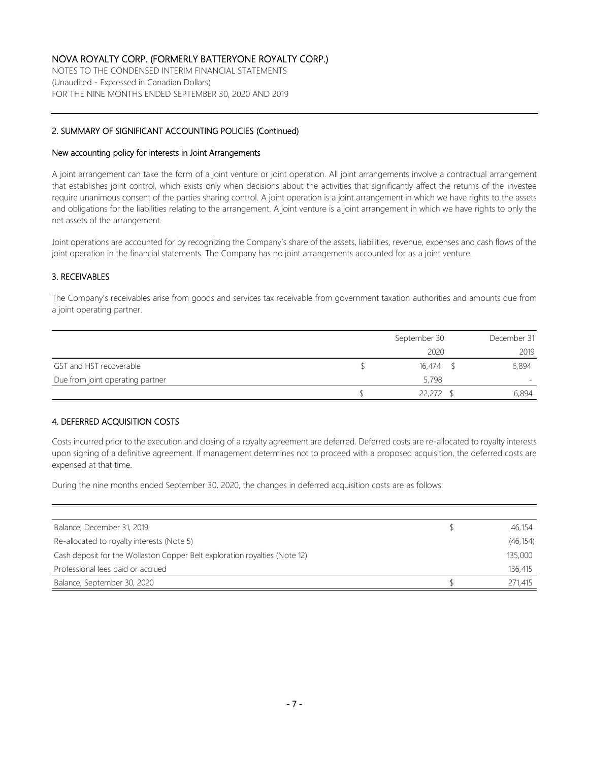NOTES TO THE CONDENSED INTERIM FINANCIAL STATEMENTS (Unaudited - Expressed in Canadian Dollars) FOR THE NINE MONTHS ENDED SEPTEMBER 30, 2020 AND 2019

#### 2. SUMMARY OF SIGNIFICANT ACCOUNTING POLICIES (Continued)

#### New accounting policy for interests in Joint Arrangements

A joint arrangement can take the form of a joint venture or joint operation. All joint arrangements involve a contractual arrangement that establishes joint control, which exists only when decisions about the activities that significantly affect the returns of the investee require unanimous consent of the parties sharing control. A joint operation is a joint arrangement in which we have rights to the assets and obligations for the liabilities relating to the arrangement. A joint venture is a joint arrangement in which we have rights to only the net assets of the arrangement.

Joint operations are accounted for by recognizing the Company's share of the assets, liabilities, revenue, expenses and cash flows of the joint operation in the financial statements. The Company has no joint arrangements accounted for as a joint venture.

#### 3. RECEIVABLES

The Company's receivables arise from goods and services tax receivable from government taxation authorities and amounts due from a joint operating partner.

|                                  | September 30 | December 31 |
|----------------------------------|--------------|-------------|
|                                  | 2020         | 2019        |
| GST and HST recoverable          | $16.474$ \$  | 6,894       |
| Due from joint operating partner | 5,798        |             |
|                                  | 22,272       | 6,894       |

#### 4. DEFERRED ACQUISITION COSTS

Costs incurred prior to the execution and closing of a royalty agreement are deferred. Deferred costs are re-allocated to royalty interests upon signing of a definitive agreement. If management determines not to proceed with a proposed acquisition, the deferred costs are expensed at that time.

During the nine months ended September 30, 2020, the changes in deferred acquisition costs are as follows:

| Balance, December 31, 2019                                                 | 46,154    |
|----------------------------------------------------------------------------|-----------|
| Re-allocated to royalty interests (Note 5)                                 | (46, 154) |
| Cash deposit for the Wollaston Copper Belt exploration royalties (Note 12) | 135,000   |
| Professional fees paid or accrued                                          | 136,415   |
| Balance, September 30, 2020                                                | 271,415   |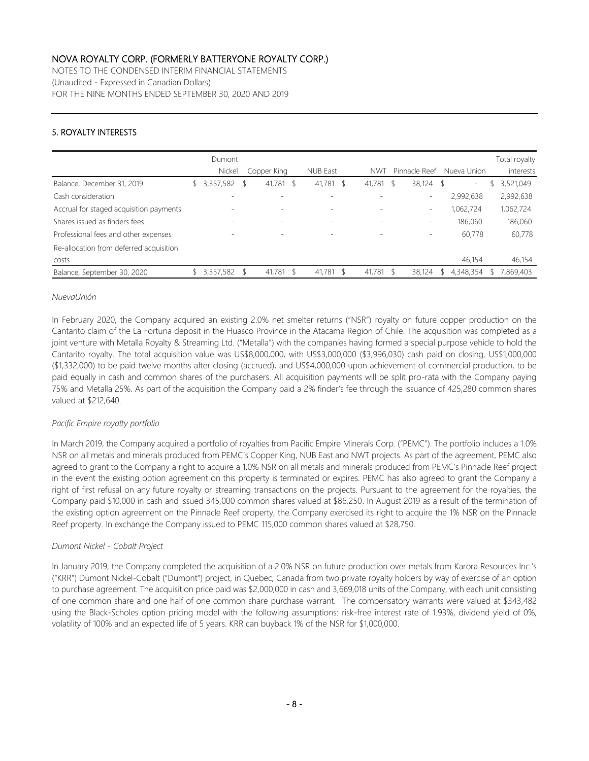NOTES TO THE CONDENSED INTERIM FINANCIAL STATEMENTS (Unaudited - Expressed in Canadian Dollars) FOR THE NINE MONTHS ENDED SEPTEMBER 30, 2020 AND 2019

### 5. ROYALTY INTERESTS

|                                         | Dumont<br>Nickel | Copper King              |      | <b>NUB East</b>          |               | <b>NWT</b> | Pinnacle Reef            |     | Nueva Union |   | Total royalty<br>interests |
|-----------------------------------------|------------------|--------------------------|------|--------------------------|---------------|------------|--------------------------|-----|-------------|---|----------------------------|
| Balance, December 31, 2019              | 3,357,582        | 41,781                   | -S   | 41,781 \$                |               | 41,781 \$  | 38,124                   | \$  | $\sim$      | Ֆ | 3,521,049                  |
| Cash consideration                      |                  |                          |      |                          |               |            | $\qquad \qquad$          |     | 2,992,638   |   | 2,992,638                  |
| Accrual for staged acquisition payments |                  | $\overline{\phantom{a}}$ |      |                          |               |            | $\overline{\phantom{a}}$ |     | 1,062,724   |   | 1,062,724                  |
| Shares issued as finders fees           |                  | $\overline{\phantom{a}}$ |      | $\overline{\phantom{a}}$ |               |            | $\qquad \qquad$          |     | 186,060     |   | 186,060                    |
| Professional fees and other expenses    |                  | -                        |      | $\overline{\phantom{0}}$ |               |            | ٠                        |     | 60,778      |   | 60,778                     |
| Re-allocation from deferred acquisition |                  |                          |      |                          |               |            |                          |     |             |   |                            |
| costs                                   |                  | $\overline{\phantom{a}}$ |      | $\overline{\phantom{a}}$ |               |            | $\overline{\phantom{a}}$ |     | 46,154      |   | 46,154                     |
| Balance, September 30, 2020             | 3,357,582        | 41.781                   | - \$ | 41,781                   | $\mathcal{S}$ | 41.781 \$  | 38,124                   | \$. | 4,348,354   |   | 7,869,403                  |

#### *NuevaUnión*

In February 2020, the Company acquired an existing 2.0% net smelter returns ("NSR") royalty on future copper production on the Cantarito claim of the La Fortuna deposit in the Huasco Province in the Atacama Region of Chile. The acquisition was completed as a joint venture with Metalla Royalty & Streaming Ltd. ("Metalla") with the companies having formed a special purpose vehicle to hold the Cantarito royalty. The total acquisition value was US\$8,000,000, with US\$3,000,000 (\$3,996,030) cash paid on closing, US\$1,000,000 (\$1,332,000) to be paid twelve months after closing (accrued), and US\$4,000,000 upon achievement of commercial production, to be paid equally in cash and common shares of the purchasers. All acquisition payments will be split pro-rata with the Company paying 75% and Metalla 25%. As part of the acquisition the Company paid a 2% finder's fee through the issuance of 425,280 common shares valued at \$212,640.

### *Pacific Empire royalty portfolio*

In March 2019, the Company acquired a portfolio of royalties from Pacific Empire Minerals Corp. ("PEMC"). The portfolio includes a 1.0% NSR on all metals and minerals produced from PEMC's Copper King, NUB East and NWT projects. As part of the agreement, PEMC also agreed to grant to the Company a right to acquire a 1.0% NSR on all metals and minerals produced from PEMC's Pinnacle Reef project in the event the existing option agreement on this property is terminated or expires. PEMC has also agreed to grant the Company a right of first refusal on any future royalty or streaming transactions on the projects. Pursuant to the agreement for the royalties, the Company paid \$10,000 in cash and issued 345,000 common shares valued at \$86,250. In August 2019 as a result of the termination of the existing option agreement on the Pinnacle Reef property, the Company exercised its right to acquire the 1% NSR on the Pinnacle Reef property. In exchange the Company issued to PEMC 115,000 common shares valued at \$28,750.

#### *Dumont Nickel - Cobalt Project*

In January 2019, the Company completed the acquisition of a 2.0% NSR on future production over metals from Karora Resources Inc.'s ("KRR") Dumont Nickel-Cobalt ("Dumont") project, in Quebec, Canada from two private royalty holders by way of exercise of an option to purchase agreement. The acquisition price paid was \$2,000,000 in cash and 3,669,018 units of the Company, with each unit consisting of one common share and one half of one common share purchase warrant. The compensatory warrants were valued at \$343,482 using the Black-Scholes option pricing model with the following assumptions: risk-free interest rate of 1.93%, dividend yield of 0%, volatility of 100% and an expected life of 5 years. KRR can buyback 1% of the NSR for \$1,000,000.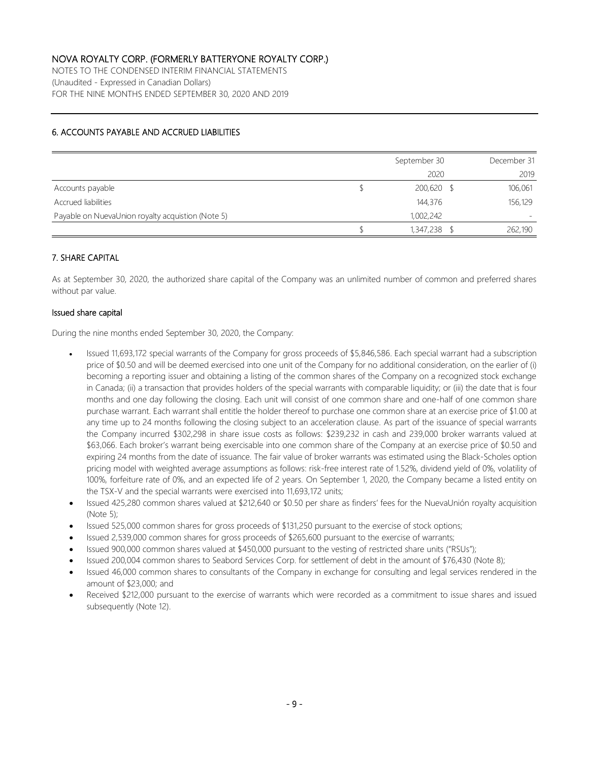NOTES TO THE CONDENSED INTERIM FINANCIAL STATEMENTS (Unaudited - Expressed in Canadian Dollars) FOR THE NINE MONTHS ENDED SEPTEMBER 30, 2020 AND 2019

### 6. ACCOUNTS PAYABLE AND ACCRUED LIABILITIES

|                                                   | September 30 | December 31 |
|---------------------------------------------------|--------------|-------------|
|                                                   | 2020         | 2019        |
| Accounts payable                                  | $200,620$ \$ | 106,061     |
| Accrued liabilities                               | 144,376      | 156,129     |
| Payable on NuevaUnion royalty acquistion (Note 5) | 1,002,242    |             |
|                                                   | 1,347,238    | 262,190     |

#### 7. SHARE CAPITAL

As at September 30, 2020, the authorized share capital of the Company was an unlimited number of common and preferred shares without par value.

#### Issued share capital

During the nine months ended September 30, 2020, the Company:

- Issued 11,693,172 special warrants of the Company for gross proceeds of \$5,846,586. Each special warrant had a subscription price of \$0.50 and will be deemed exercised into one unit of the Company for no additional consideration, on the earlier of (i) becoming a reporting issuer and obtaining a listing of the common shares of the Company on a recognized stock exchange in Canada; (ii) a transaction that provides holders of the special warrants with comparable liquidity; or (iii) the date that is four months and one day following the closing. Each unit will consist of one common share and one-half of one common share purchase warrant. Each warrant shall entitle the holder thereof to purchase one common share at an exercise price of \$1.00 at any time up to 24 months following the closing subject to an acceleration clause. As part of the issuance of special warrants the Company incurred \$302,298 in share issue costs as follows: \$239,232 in cash and 239,000 broker warrants valued at \$63,066. Each broker's warrant being exercisable into one common share of the Company at an exercise price of \$0.50 and expiring 24 months from the date of issuance. The fair value of broker warrants was estimated using the Black-Scholes option pricing model with weighted average assumptions as follows: risk-free interest rate of 1.52%, dividend yield of 0%, volatility of 100%, forfeiture rate of 0%, and an expected life of 2 years. On September 1, 2020, the Company became a listed entity on the TSX-V and the special warrants were exercised into 11,693,172 units;
- Issued 425,280 common shares valued at \$212,640 or \$0.50 per share as finders' fees for the NuevaUnión royalty acquisition (Note 5);
- Issued 525,000 common shares for gross proceeds of \$131,250 pursuant to the exercise of stock options;
- Issued 2,539,000 common shares for gross proceeds of \$265,600 pursuant to the exercise of warrants;
- Issued 900,000 common shares valued at \$450,000 pursuant to the vesting of restricted share units ("RSUs");
- Issued 200,004 common shares to Seabord Services Corp. for settlement of debt in the amount of \$76,430 (Note 8);
- Issued 46,000 common shares to consultants of the Company in exchange for consulting and legal services rendered in the amount of \$23,000; and
- Received \$212,000 pursuant to the exercise of warrants which were recorded as a commitment to issue shares and issued subsequently (Note 12).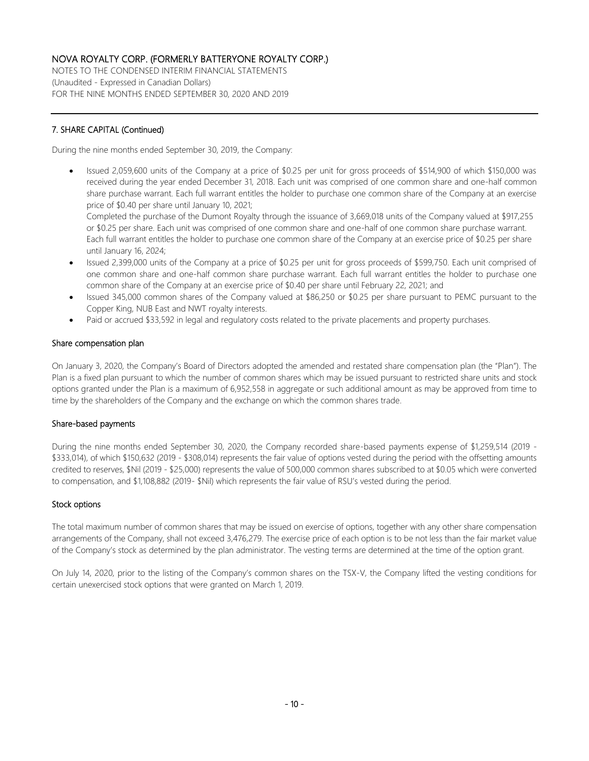NOTES TO THE CONDENSED INTERIM FINANCIAL STATEMENTS (Unaudited - Expressed in Canadian Dollars) FOR THE NINE MONTHS ENDED SEPTEMBER 30, 2020 AND 2019

## 7. SHARE CAPITAL (Continued)

During the nine months ended September 30, 2019, the Company:

• Issued 2,059,600 units of the Company at a price of \$0.25 per unit for gross proceeds of \$514,900 of which \$150,000 was received during the year ended December 31, 2018. Each unit was comprised of one common share and one-half common share purchase warrant. Each full warrant entitles the holder to purchase one common share of the Company at an exercise price of \$0.40 per share until January 10, 2021;

Completed the purchase of the Dumont Royalty through the issuance of 3,669,018 units of the Company valued at \$917,255 or \$0.25 per share. Each unit was comprised of one common share and one-half of one common share purchase warrant. Each full warrant entitles the holder to purchase one common share of the Company at an exercise price of \$0.25 per share until January 16, 2024;

- Issued 2,399,000 units of the Company at a price of \$0.25 per unit for gross proceeds of \$599,750. Each unit comprised of one common share and one-half common share purchase warrant. Each full warrant entitles the holder to purchase one common share of the Company at an exercise price of \$0.40 per share until February 22, 2021; and
- Issued 345,000 common shares of the Company valued at \$86,250 or \$0.25 per share pursuant to PEMC pursuant to the Copper King, NUB East and NWT royalty interests.
- Paid or accrued \$33,592 in legal and regulatory costs related to the private placements and property purchases.

#### Share compensation plan

On January 3, 2020, the Company's Board of Directors adopted the amended and restated share compensation plan (the "Plan"). The Plan is a fixed plan pursuant to which the number of common shares which may be issued pursuant to restricted share units and stock options granted under the Plan is a maximum of 6,952,558 in aggregate or such additional amount as may be approved from time to time by the shareholders of the Company and the exchange on which the common shares trade.

#### Share-based payments

During the nine months ended September 30, 2020, the Company recorded share-based payments expense of \$1,259,514 (2019 - \$333,014), of which \$150,632 (2019 - \$308,014) represents the fair value of options vested during the period with the offsetting amounts credited to reserves, \$Nil (2019 - \$25,000) represents the value of 500,000 common shares subscribed to at \$0.05 which were converted to compensation, and \$1,108,882 (2019- \$Nil) which represents the fair value of RSU's vested during the period.

#### Stock options

The total maximum number of common shares that may be issued on exercise of options, together with any other share compensation arrangements of the Company, shall not exceed 3,476,279. The exercise price of each option is to be not less than the fair market value of the Company's stock as determined by the plan administrator. The vesting terms are determined at the time of the option grant.

On July 14, 2020, prior to the listing of the Company's common shares on the TSX-V, the Company lifted the vesting conditions for certain unexercised stock options that were granted on March 1, 2019.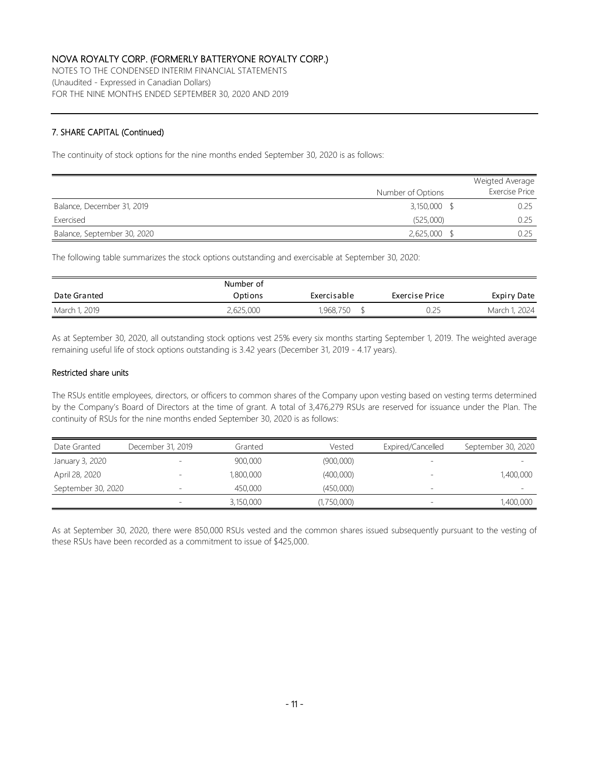NOTES TO THE CONDENSED INTERIM FINANCIAL STATEMENTS (Unaudited - Expressed in Canadian Dollars) FOR THE NINE MONTHS ENDED SEPTEMBER 30, 2020 AND 2019

### 7. SHARE CAPITAL (Continued)

The continuity of stock options for the nine months ended September 30, 2020 is as follows:

|                             |                   | Weigted Average |
|-----------------------------|-------------------|-----------------|
|                             | Number of Options | Exercise Price  |
| Balance, December 31, 2019  | $3,150,000$ \$    | 0.25            |
| Exercised                   | (525,000)         | 0.25            |
| Balance, September 30, 2020 | $2,625,000$ \$    | 0.25            |

The following table summarizes the stock options outstanding and exercisable at September 30, 2020:

|               | Number of |             |                |               |
|---------------|-----------|-------------|----------------|---------------|
| Date Granted  | Options   | Exercisable | Exercise Price | Expiry Date   |
| March 1, 2019 | 2,625,000 | 1,968,750   | 0.25           | March 1, 2024 |

As at September 30, 2020, all outstanding stock options vest 25% every six months starting September 1, 2019. The weighted average remaining useful life of stock options outstanding is 3.42 years (December 31, 2019 - 4.17 years).

#### Restricted share units

The RSUs entitle employees, directors, or officers to common shares of the Company upon vesting based on vesting terms determined by the Company's Board of Directors at the time of grant. A total of 3,476,279 RSUs are reserved for issuance under the Plan. The continuity of RSUs for the nine months ended September 30, 2020 is as follows:

| Date Granted       | December 31, 2019        | Granted   | Vested      | Expired/Cancelled        | September 30, 2020       |
|--------------------|--------------------------|-----------|-------------|--------------------------|--------------------------|
| January 3, 2020    | $-$                      | 900,000   | (900,000)   |                          |                          |
| April 28, 2020     | $\overline{\phantom{0}}$ | 1,800,000 | (400,000)   |                          | 1,400,000                |
| September 30, 2020 | $\overline{\phantom{0}}$ | 450,000   | (450,000)   | $\overline{\phantom{0}}$ | $\overline{\phantom{a}}$ |
|                    |                          | 3,150,000 | (1,750,000) |                          | 1,400,000                |

As at September 30, 2020, there were 850,000 RSUs vested and the common shares issued subsequently pursuant to the vesting of these RSUs have been recorded as a commitment to issue of \$425,000.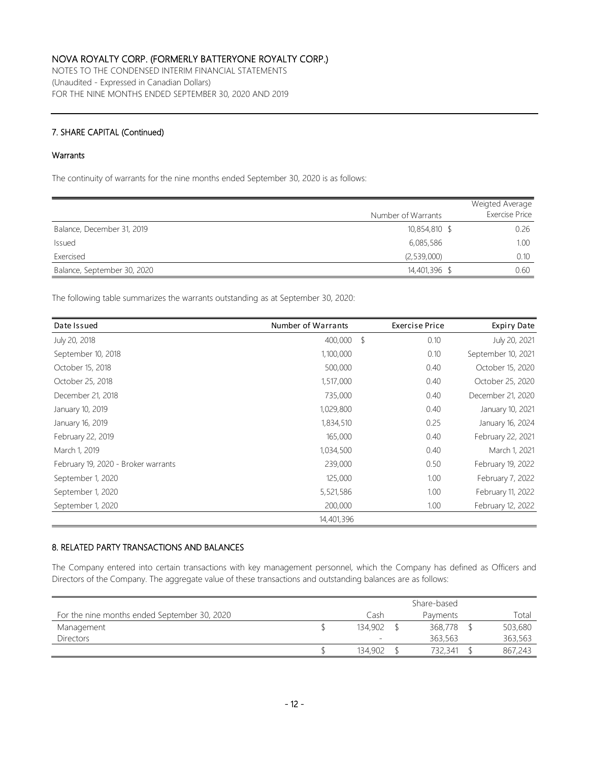NOTES TO THE CONDENSED INTERIM FINANCIAL STATEMENTS (Unaudited - Expressed in Canadian Dollars) FOR THE NINE MONTHS ENDED SEPTEMBER 30, 2020 AND 2019

### 7. SHARE CAPITAL (Continued)

#### **Warrants**

The continuity of warrants for the nine months ended September 30, 2020 is as follows:

|                             |                    | Weigted Average       |
|-----------------------------|--------------------|-----------------------|
|                             | Number of Warrants | <b>Exercise Price</b> |
| Balance, December 31, 2019  | 10,854,810 \$      | 0.26                  |
| Issued                      | 6,085,586          | 1.00                  |
| Exercised                   | (2,539,000)        | 0.10                  |
| Balance, September 30, 2020 | 14,401,396 \$      | 0.60                  |

The following table summarizes the warrants outstanding as at September 30, 2020:

| Date Issued                         | Number of Warrants |               | Exercise Price | <b>Expiry Date</b> |
|-------------------------------------|--------------------|---------------|----------------|--------------------|
| July 20, 2018                       | 400,000            | $\mathcal{S}$ | 0.10           | July 20, 2021      |
| September 10, 2018                  | 1,100,000          |               | 0.10           | September 10, 2021 |
| October 15, 2018                    | 500,000            |               | 0.40           | October 15, 2020   |
| October 25, 2018                    | 1,517,000          |               | 0.40           | October 25, 2020   |
| December 21, 2018                   | 735,000            |               | 0.40           | December 21, 2020  |
| January 10, 2019                    | 1,029,800          |               | 0.40           | January 10, 2021   |
| January 16, 2019                    | 1,834,510          |               | 0.25           | January 16, 2024   |
| February 22, 2019                   | 165,000            |               | 0.40           | February 22, 2021  |
| March 1, 2019                       | 1,034,500          |               | 0.40           | March 1, 2021      |
| February 19, 2020 - Broker warrants | 239,000            |               | 0.50           | February 19, 2022  |
| September 1, 2020                   | 125,000            |               | 1.00           | February 7, 2022   |
| September 1, 2020                   | 5,521,586          |               | 1.00           | February 11, 2022  |
| September 1, 2020                   | 200,000            |               | 1.00           | February 12, 2022  |
|                                     | 14,401,396         |               |                |                    |

### 8. RELATED PARTY TRANSACTIONS AND BALANCES

The Company entered into certain transactions with key management personnel, which the Company has defined as Officers and Directors of the Company. The aggregate value of these transactions and outstanding balances are as follows:

|                                              | Share-based              |  |          |  |         |
|----------------------------------------------|--------------------------|--|----------|--|---------|
| For the nine months ended September 30, 2020 | Cash                     |  | Payments |  | Total   |
| Management                                   | 134.902                  |  | 368,778  |  | 503,680 |
| <b>Directors</b>                             | $\overline{\phantom{a}}$ |  | 363,563  |  | 363,563 |
|                                              | 134,902                  |  | 732,341  |  | 867,243 |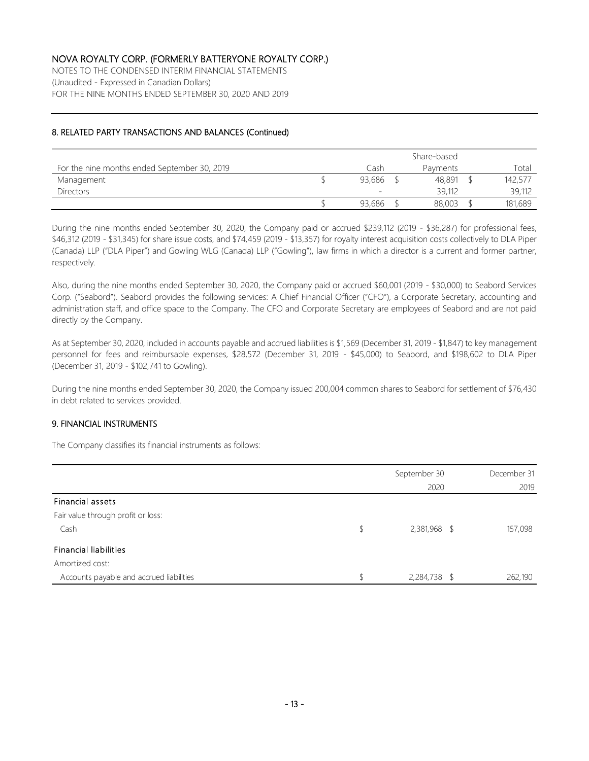NOTES TO THE CONDENSED INTERIM FINANCIAL STATEMENTS (Unaudited - Expressed in Canadian Dollars) FOR THE NINE MONTHS ENDED SEPTEMBER 30, 2020 AND 2019

### 8. RELATED PARTY TRANSACTIONS AND BALANCES (Continued)

|                                              | Share-based |  |                 |  |         |
|----------------------------------------------|-------------|--|-----------------|--|---------|
| For the nine months ended September 30, 2019 | Cash        |  | <b>Payments</b> |  | Total   |
| Management                                   | 93,686      |  | 48,891          |  | 142,577 |
| <b>Directors</b>                             | -           |  | 39,112          |  | 39,112  |
|                                              | 93,686      |  | 88,003          |  | 181,689 |

During the nine months ended September 30, 2020, the Company paid or accrued \$239,112 (2019 - \$36,287) for professional fees, \$46,312 (2019 - \$31,345) for share issue costs, and \$74,459 (2019 - \$13,357) for royalty interest acquisition costs collectively to DLA Piper (Canada) LLP ("DLA Piper") and Gowling WLG (Canada) LLP ("Gowling"), law firms in which a director is a current and former partner, respectively.

Also, during the nine months ended September 30, 2020, the Company paid or accrued \$60,001 (2019 - \$30,000) to Seabord Services Corp. ("Seabord"). Seabord provides the following services: A Chief Financial Officer ("CFO"), a Corporate Secretary, accounting and administration staff, and office space to the Company. The CFO and Corporate Secretary are employees of Seabord and are not paid directly by the Company.

As at September 30, 2020, included in accounts payable and accrued liabilities is \$1,569 (December 31, 2019 - \$1,847) to key management personnel for fees and reimbursable expenses, \$28,572 (December 31, 2019 - \$45,000) to Seabord, and \$198,602 to DLA Piper (December 31, 2019 - \$102,741 to Gowling).

During the nine months ended September 30, 2020, the Company issued 200,004 common shares to Seabord for settlement of \$76,430 in debt related to services provided.

#### 9. FINANCIAL INSTRUMENTS

The Company classifies its financial instruments as follows:

|                                          | September 30       | December 31 |
|------------------------------------------|--------------------|-------------|
|                                          | 2020               | 2019        |
| Financial assets                         |                    |             |
| Fair value through profit or loss:       |                    |             |
| Cash                                     | \$<br>2,381,968 \$ | 157,098     |
| <b>Financial liabilities</b>             |                    |             |
| Amortized cost:                          |                    |             |
| Accounts payable and accrued liabilities | 2,284,738 \$       | 262,190     |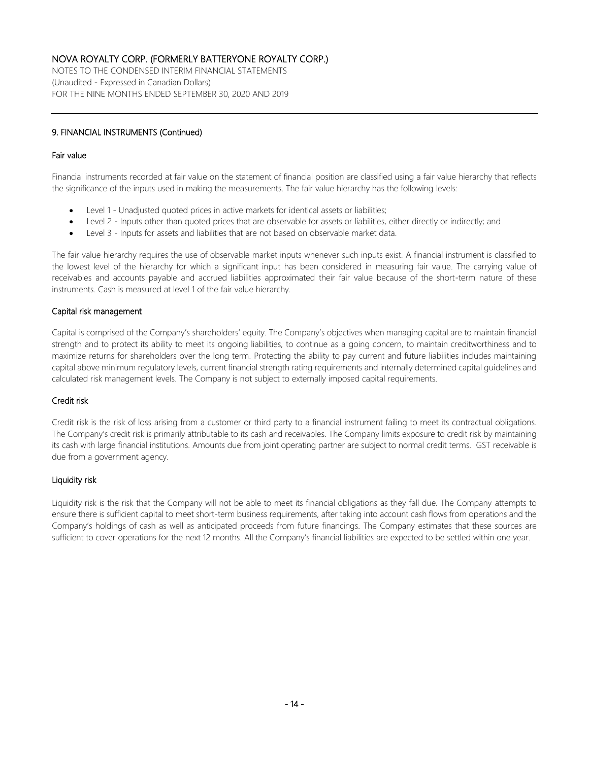NOTES TO THE CONDENSED INTERIM FINANCIAL STATEMENTS (Unaudited - Expressed in Canadian Dollars) FOR THE NINE MONTHS ENDED SEPTEMBER 30, 2020 AND 2019

#### 9. FINANCIAL INSTRUMENTS (Continued)

#### Fair value

Financial instruments recorded at fair value on the statement of financial position are classified using a fair value hierarchy that reflects the significance of the inputs used in making the measurements. The fair value hierarchy has the following levels:

- Level 1 Unadjusted quoted prices in active markets for identical assets or liabilities;
- Level 2 Inputs other than quoted prices that are observable for assets or liabilities, either directly or indirectly; and
- Level 3 Inputs for assets and liabilities that are not based on observable market data.

The fair value hierarchy requires the use of observable market inputs whenever such inputs exist. A financial instrument is classified to the lowest level of the hierarchy for which a significant input has been considered in measuring fair value. The carrying value of receivables and accounts payable and accrued liabilities approximated their fair value because of the short-term nature of these instruments. Cash is measured at level 1 of the fair value hierarchy.

#### Capital risk management

Capital is comprised of the Company's shareholders' equity. The Company's objectives when managing capital are to maintain financial strength and to protect its ability to meet its ongoing liabilities, to continue as a going concern, to maintain creditworthiness and to maximize returns for shareholders over the long term. Protecting the ability to pay current and future liabilities includes maintaining capital above minimum regulatory levels, current financial strength rating requirements and internally determined capital guidelines and calculated risk management levels. The Company is not subject to externally imposed capital requirements.

#### Credit risk

Credit risk is the risk of loss arising from a customer or third party to a financial instrument failing to meet its contractual obligations. The Company's credit risk is primarily attributable to its cash and receivables. The Company limits exposure to credit risk by maintaining its cash with large financial institutions. Amounts due from joint operating partner are subject to normal credit terms. GST receivable is due from a government agency.

#### Liquidity risk

Liquidity risk is the risk that the Company will not be able to meet its financial obligations as they fall due. The Company attempts to ensure there is sufficient capital to meet short-term business requirements, after taking into account cash flows from operations and the Company's holdings of cash as well as anticipated proceeds from future financings. The Company estimates that these sources are sufficient to cover operations for the next 12 months. All the Company's financial liabilities are expected to be settled within one year.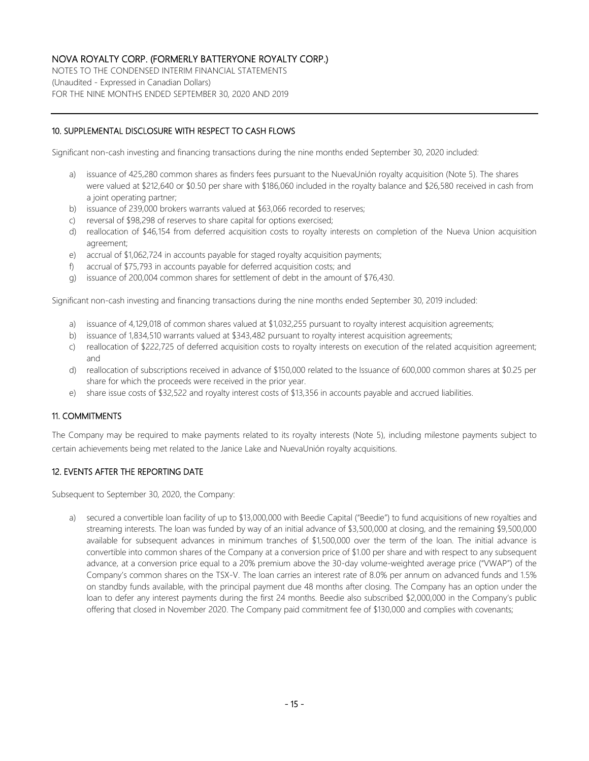NOTES TO THE CONDENSED INTERIM FINANCIAL STATEMENTS (Unaudited - Expressed in Canadian Dollars) FOR THE NINE MONTHS ENDED SEPTEMBER 30, 2020 AND 2019

#### 10. SUPPLEMENTAL DISCLOSURE WITH RESPECT TO CASH FLOWS

Significant non-cash investing and financing transactions during the nine months ended September 30, 2020 included:

- a) issuance of 425,280 common shares as finders fees pursuant to the NuevaUnión royalty acquisition (Note 5). The shares were valued at \$212,640 or \$0.50 per share with \$186,060 included in the royalty balance and \$26,580 received in cash from a joint operating partner;
- b) issuance of 239,000 brokers warrants valued at \$63,066 recorded to reserves;
- c) reversal of \$98,298 of reserves to share capital for options exercised;
- d) reallocation of \$46,154 from deferred acquisition costs to royalty interests on completion of the Nueva Union acquisition agreement;
- e) accrual of \$1,062,724 in accounts payable for staged royalty acquisition payments;
- f) accrual of \$75,793 in accounts payable for deferred acquisition costs; and
- g) issuance of 200,004 common shares for settlement of debt in the amount of \$76,430.

Significant non-cash investing and financing transactions during the nine months ended September 30, 2019 included:

- a) issuance of 4,129,018 of common shares valued at \$1,032,255 pursuant to royalty interest acquisition agreements;
- b) issuance of 1,834,510 warrants valued at \$343,482 pursuant to royalty interest acquisition agreements;
- c) reallocation of \$222,725 of deferred acquisition costs to royalty interests on execution of the related acquisition agreement; and
- d) reallocation of subscriptions received in advance of \$150,000 related to the Issuance of 600,000 common shares at \$0.25 per share for which the proceeds were received in the prior year.
- e) share issue costs of \$32,522 and royalty interest costs of \$13,356 in accounts payable and accrued liabilities.

#### 11. COMMITMENTS

The Company may be required to make payments related to its royalty interests (Note 5), including milestone payments subject to certain achievements being met related to the Janice Lake and NuevaUnión royalty acquisitions.

### 12. EVENTS AFTER THE REPORTING DATE

Subsequent to September 30, 2020, the Company:

a) secured a convertible loan facility of up to \$13,000,000 with Beedie Capital ("Beedie") to fund acquisitions of new royalties and streaming interests. The loan was funded by way of an initial advance of \$3,500,000 at closing, and the remaining \$9,500,000 available for subsequent advances in minimum tranches of \$1,500,000 over the term of the loan. The initial advance is convertible into common shares of the Company at a conversion price of \$1.00 per share and with respect to any subsequent advance, at a conversion price equal to a 20% premium above the 30-day volume-weighted average price ("VWAP") of the Company's common shares on the TSX-V. The loan carries an interest rate of 8.0% per annum on advanced funds and 1.5% on standby funds available, with the principal payment due 48 months after closing. The Company has an option under the loan to defer any interest payments during the first 24 months. Beedie also subscribed \$2,000,000 in the Company's public offering that closed in November 2020. The Company paid commitment fee of \$130,000 and complies with covenants;